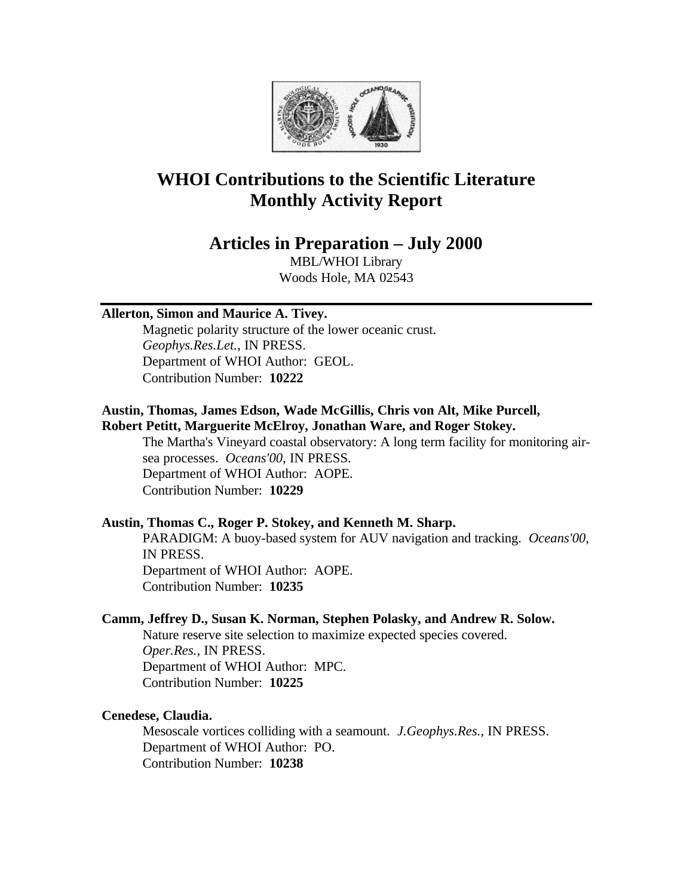

# **WHOI Contributions to the Scientific Literature Monthly Activity Report**

# **Articles in Preparation – July 2000**

MBL/WHOI Library Woods Hole, MA 02543

# **Allerton, Simon and Maurice A. Tivey.**

Magnetic polarity structure of the lower oceanic crust. *Geophys.Res.Let.*, IN PRESS. Department of WHOI Author: GEOL. Contribution Number: **10222**

### **Austin, Thomas, James Edson, Wade McGillis, Chris von Alt, Mike Purcell, Robert Petitt, Marguerite McElroy, Jonathan Ware, and Roger Stokey.**

The Martha's Vineyard coastal observatory: A long term facility for monitoring airsea processes. *Oceans'00*, IN PRESS. Department of WHOI Author: AOPE. Contribution Number: **10229**

# **Austin, Thomas C., Roger P. Stokey, and Kenneth M. Sharp.**

PARADIGM: A buoy-based system for AUV navigation and tracking. *Oceans'00*, IN PRESS. Department of WHOI Author: AOPE. Contribution Number: **10235**

### **Camm, Jeffrey D., Susan K. Norman, Stephen Polasky, and Andrew R. Solow.**

Nature reserve site selection to maximize expected species covered. *Oper.Res.*, IN PRESS. Department of WHOI Author: MPC. Contribution Number: **10225**

### **Cenedese, Claudia.**

Mesoscale vortices colliding with a seamount. *J.Geophys.Res.*, IN PRESS. Department of WHOI Author: PO. Contribution Number: **10238**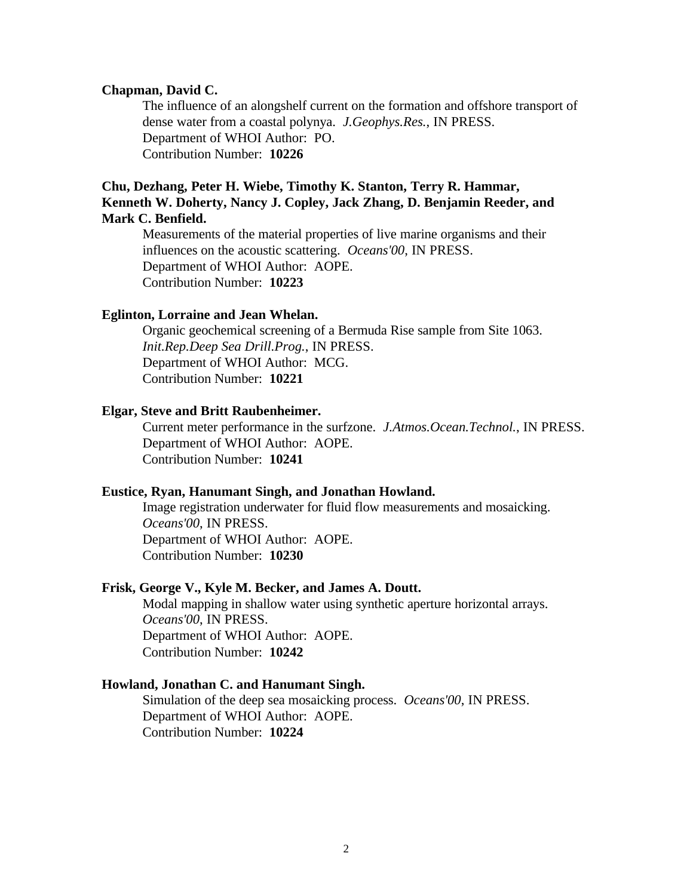### **Chapman, David C.**

The influence of an alongshelf current on the formation and offshore transport of dense water from a coastal polynya. *J.Geophys.Res.*, IN PRESS. Department of WHOI Author: PO. Contribution Number: **10226**

# **Chu, Dezhang, Peter H. Wiebe, Timothy K. Stanton, Terry R. Hammar, Kenneth W. Doherty, Nancy J. Copley, Jack Zhang, D. Benjamin Reeder, and Mark C. Benfield.**

Measurements of the material properties of live marine organisms and their influences on the acoustic scattering. *Oceans'00*, IN PRESS. Department of WHOI Author: AOPE. Contribution Number: **10223**

### **Eglinton, Lorraine and Jean Whelan.**

Organic geochemical screening of a Bermuda Rise sample from Site 1063. *Init.Rep.Deep Sea Drill.Prog.*, IN PRESS. Department of WHOI Author: MCG. Contribution Number: **10221**

### **Elgar, Steve and Britt Raubenheimer.**

Current meter performance in the surfzone. *J.Atmos.Ocean.Technol.*, IN PRESS. Department of WHOI Author: AOPE. Contribution Number: **10241**

#### **Eustice, Ryan, Hanumant Singh, and Jonathan Howland.**

Image registration underwater for fluid flow measurements and mosaicking. *Oceans'00*, IN PRESS. Department of WHOI Author: AOPE. Contribution Number: **10230**

#### **Frisk, George V., Kyle M. Becker, and James A. Doutt.**

Modal mapping in shallow water using synthetic aperture horizontal arrays. *Oceans'00*, IN PRESS. Department of WHOI Author: AOPE. Contribution Number: **10242**

#### **Howland, Jonathan C. and Hanumant Singh.**

Simulation of the deep sea mosaicking process. *Oceans'00*, IN PRESS. Department of WHOI Author: AOPE. Contribution Number: **10224**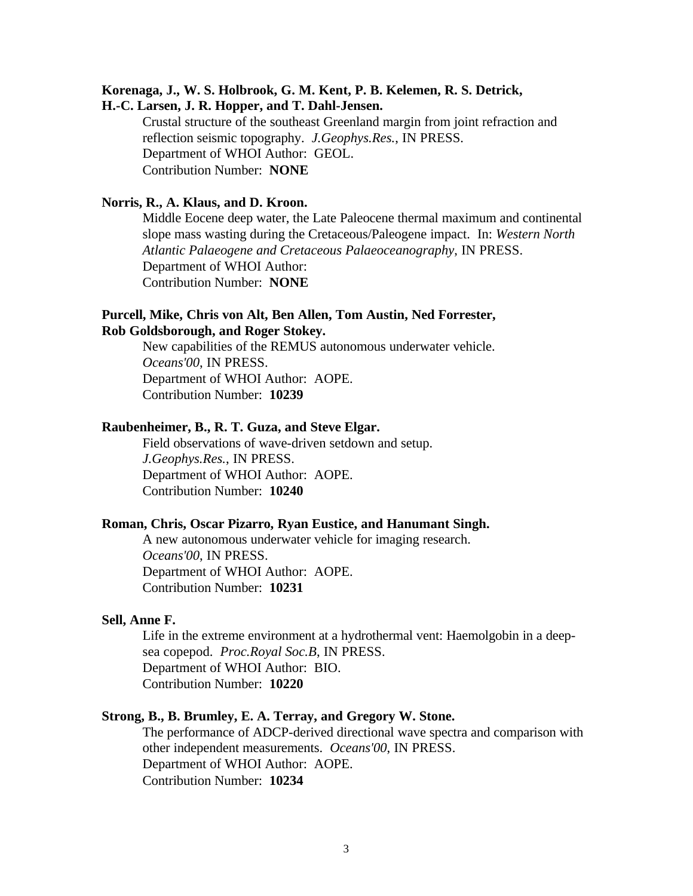# **Korenaga, J., W. S. Holbrook, G. M. Kent, P. B. Kelemen, R. S. Detrick,**

**H.-C. Larsen, J. R. Hopper, and T. Dahl-Jensen.** 

Crustal structure of the southeast Greenland margin from joint refraction and reflection seismic topography. *J.Geophys.Res.*, IN PRESS. Department of WHOI Author: GEOL. Contribution Number: **NONE**

### **Norris, R., A. Klaus, and D. Kroon.**

Middle Eocene deep water, the Late Paleocene thermal maximum and continental slope mass wasting during the Cretaceous/Paleogene impact. In: *Western North Atlantic Palaeogene and Cretaceous Palaeoceanography*, IN PRESS. Department of WHOI Author: Contribution Number: **NONE**

### **Purcell, Mike, Chris von Alt, Ben Allen, Tom Austin, Ned Forrester, Rob Goldsborough, and Roger Stokey.**

New capabilities of the REMUS autonomous underwater vehicle. *Oceans'00*, IN PRESS. Department of WHOI Author: AOPE. Contribution Number: **10239**

### **Raubenheimer, B., R. T. Guza, and Steve Elgar.**

Field observations of wave-driven setdown and setup. *J.Geophys.Res.*, IN PRESS. Department of WHOI Author: AOPE. Contribution Number: **10240**

### **Roman, Chris, Oscar Pizarro, Ryan Eustice, and Hanumant Singh.**

A new autonomous underwater vehicle for imaging research. *Oceans'00*, IN PRESS. Department of WHOI Author: AOPE. Contribution Number: **10231**

#### **Sell, Anne F.**

Life in the extreme environment at a hydrothermal vent: Haemolgobin in a deepsea copepod. *Proc.Royal Soc.B*, IN PRESS. Department of WHOI Author: BIO. Contribution Number: **10220**

# **Strong, B., B. Brumley, E. A. Terray, and Gregory W. Stone.**

The performance of ADCP-derived directional wave spectra and comparison with other independent measurements. *Oceans'00*, IN PRESS. Department of WHOI Author: AOPE. Contribution Number: **10234**